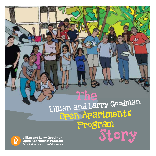Open Apartments Program The Lillian and Larry Goodman **Lillian and Larry Goodman**<br>Open Apartments Program<br>Ben-Gurion University of the Negev

**Lillian and Larry Goodman** 

 $\Omega$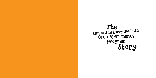Open Apartments Program The Lillian and Larry Goodman

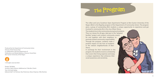## The Program

The Lillian and Larry Goodman Open Apartments Program at Ben-Gurion University of the Negev (BGU) is the flagship program of the Department of Community Action. The program gives a group of outstanding BGU students a unique opportunity to experience and get involved in community life in the city of Beer-Sheva. The students live in the community among local residents. They run classes for all ages, take part in the "adopted families" project and conduct community events for and together with their neighbors, to promote shared community responsibility. Through the program, students make a positive impact on the lives of residents in the veteran neighborhoods of Beer-Sheva.

In exchange for their involvement in the program, the students receive a scholarship that covers their living expenses and enjoy a unique experience that enhances their social awareness and sensitivity.





Produced by the Department of Community Action Director, Vered Sarussi-Katz in collaboration with the Department of Publications and Media Relations, Director, Osnat Eitan Ben-Gurion University of the Negev

## © All rights reserved 2022

Design: Tali Babai Artwork: Dafna Talmon; Additional art: Talia Ben Chetrit Text: Orli Gold-Haklay Editorial Staff: Eti Fishman, Noa Fisherman, Elana Chipman, Hilla Shenhav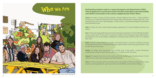## **WHO WE APE** Participating students study in a range of programs and departments at BGU. **Their engagement in social action stems from their motivation to promote healthy and vibrant communities in the veteran neighborhoods of Beer-Sheva.**

*Areen:* I'm Areen, 24 years old, from Samia, a Druze village in the north. I study medicine. Growing up, I loved learning about the human body and whenever anyone got hurt, I was always the one who ran to get bandages. In high school, I volunteered at Magen David Adom (the Israeli Red Cross).

*Ruth:* I'm Ruth. I study Middle East studies and Jewish history. I was born in Mexico City and made Aliyah when I was 15 years old. I have one older brother and two younger brothers. I did my IDF service in the navy.

*Elad:* I'm Elad, 24, and I study biotechnology engineering. I'm from Ashdod and have two sisters.

*Gai:* I'm Gai and I study politics & government and communications. I'm from Ma'alot Tarshiha, a town in the north. In the army, I served as an officer in the Computer Corps. Afterwards, I participated in two Jewish Agency delegations, teaching Israeli culture at the JCC in upstate New York.

*Yarin:* I'm Yarin, 28 years old. I'm married to Avi and mother of Ofri (6) and Be'eri (2). I study business and management. I grew up in the town of Ofakim and have five siblings.

*Shady:* I'm Shady, from the Druze town of Beit Jann in the north. I study mechanical engineering. I served in the IDF as an officer in a combat unit for five years.

*Sujood:* I'm Sujood, from Ar'ara in the north, and I'm in my fifth year of medical school. I'm the oldest of four sisters and my parents are both teachers.



\*Want to know who's who? see page 26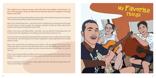

**The students are a diverse group, each with their own hobbies and interests. As part of the program, they can share those interests with their neighbors through classes and clubs.** 

*Sujood:* I love swimming and travelling overseas (especially to Italy!) and going shoe shopping. I love math and enjoy fixing things around the house.

**Shady:** I love soccer and hiking. When I was little, I was very fearful of everything. Now I do extreme sports, like rappelling, rock climbing and scuba diving whenever I can.

*Elad:* I love cooking Asian food – sushi and stir-fries. Cooking gives me quiet time with myself, and food always connects people. Our program members usually eat Friday night dinner together and everyone brings their favorite dish.

*Ruth:* I love scuba diving and surfing with my friends. I like the silence of the ocean. Being underwater gives you time to think about life, listen to yourself breathing and discover new ocean creatures. It makes you realize how little we know about the world. There's so much to discover!

*Yarin:* I love horseback riding and biking. My husband and I are part of a community of young families. We organize special women-only events and have big communal meals on the holidays.

*Gai:* I love music and I play piano and guitar. Music transports me to another place and makes me feel special. I also like going to the market, shopping for simple ingredients, and creating delicious meals.

*Areen:* I'm obsessed with upcycling! I collect paper and other materials and shape them into statues that I display in my room…

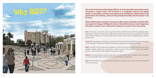**Ben-Gurion University of the Negev (BGU) is an internationally renowned research university in Israel's south. The University is a recognized national and global leader in many fields, actively encouraging multi-disciplinary collaborations with government and industry, and nurturing entrepreneurship and innovation in all its forms.**

*Gai:* In the army, I served in a base near Beer-Sheva and fell in love with the beautiful desert landscape. I wanted to study at a socially oriented university. I just love my studies! I'm learning about what's going on in Israeli government today, rather than accepting things without questioning.

**With 20,000 students and three campuses in Beer-Sheva, Sde Boker and Eilat, BGU is an agent of change, fulfilling the vision of David Ben-Gurion, Israel's legendary first prime minister. Over a third of the students are active in the community.** 

*Ruth:* I wanted to learn about the periphery, to leave the center of Israel and step out of my bubble. People at BGU are so involved **–** they're active in the student union and political groups, and volunteer with children and senior citizens.

**Sujood:** I was accepted to several universities, but chose BGU, and I'm happy I did. The Negev is a much friendlier place, and the University feels like one big family.

*Areen:* BGU emphasizes the human connection between doctors and patients and encourages us to volunteer. I knew that at BGU I would get to experience a whole new world.

*Elad:* I love that BGU has such a vibrant social life and that so many of the students volunteer in the community.

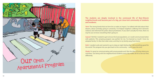### **The students are deeply involved in the communal life of Beer-Sheva's neighborhoods and become part of a big, yet close-knit community of students and residents.**

*Yarin:* The strong bonds that we form let us make an impact. I've talked with kids about their dreams, about someday going to university. I've helped neighbors suffering from domestic violence and informed the police about prostitution. If you don't actually live here, there no way for you to know everything that's going on.

**Sujood:** I felt like I needed to get to know the local population, so I could communicate better with patients. This amazing program was perfect for me. I've learned so much! I love my adopted family. I'm like their older sister, and they're my family away from home.

*Ruth:* I needed a job and wanted to go to sleep at night feeling like I did something good for the world. This program lets you give back to the community – and it pays the rent!

*Shady:* I'm good at communicating with young people and I like the idea of living where you volunteer. Just being with the neighborhood residents every day makes all of us see our lives differently.

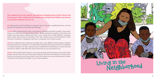**The students live in the veteran, less-affluent neighborhoods of Beer-Sheva and become part of the neighborhood communities; people that children can look up to and adult residents can turn to.** 

*Gai:* My parents came from Morocco and grew up in a very poor neighborhood too, so living here lets me experience what they went through.

**Sujood:** When I get back from class, I sit outside our building and talk to people. I hear what's going on in their lives and get to know them. Before joining the program, I had never met anyone who had almost nothing. But here I met a family who couldn't afford a computer, which meant that during the lockdown their kids couldn't zoom and fell behind in their classwork. Somehow, I managed to get them a computer, and it made my day!

*Elad:* Our neighborhood is made up of people from many different ethnic groups. Sephardi and Ashkenazi; Jews and Arabs. So, I've learned a lot about Israeli society. One of our neighbors is always knocking on our door, saying she just cooked dinner and asking us to come over and eat with her. When I walk down the street, all the kids run up and climb on me.

*Shady:* At first people didn't smile at us, but now we all say good morning. I go up to the older people, ask how they are and if they need anything. They say that talking to us really cheers them up. During the recent Gaza conflict, every time there was a siren warning about rockets, we all met in the shelter. It brought us even closer together.



Living in the Neighborhood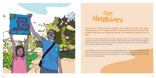

# Our Neighbors

**Close ties are formed between students and residents as they share meals and experiences. The residents confide in the students, telling them about the problems they face and asking their advice. The students do what they can to help.**

*Areen:* One of the women told me I'm like a daughter to her. On my birthday, she actually made me a cake with my picture on it! When I walk down the street, the kids are so happy to see me! They jump on me and hug me. At first, people had stigmas about me as a Druze, but now we have a really strong connection.

*Ruth:* The kids sit on the steps of our apartment building and wait for me to come home from class. They tell me how their day was, who fought with whom, all the "juice". Every day, they knock on my door, asking to borrow some glue or a cup of sugar or just to say hi to my dog, Toto. He's the local rock star!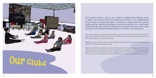**Each student teaches a class or runs a club for neighborhood children, youth, or adults. These classes meet in the students' apartments, in the neighborhood bomb shelter, the community center**, **or outdoors, in playgrounds. The students might lead their building committee or community garden; run an afterschool homework help club; and teach anything from community theater, sports, yoga, and dance to cooking and healthy living, arts and crafts, chess, and games.** 

*Gai:* I teach English to a group of girls and try make it fun for them with games. Sometimes they bring their little brothers and sisters to the club. I can't just send them away, because I know their parents won't be home all day.

Areen: I teach Hebrew to Bedouin women. They really want to learn and get out of the house. They never miss a class! They say I make them feel more independent. We don't just practice Hebrew. We learn how to get on the bus, go to the bank or the doctor, buy a cup of coffee. The women in my class are becoming more confident and some have started looking for a job.

*Sujood:* I teach a women's exercise class and give residents advice on how to eat healthier and stay fit. It was hard to do during corona.

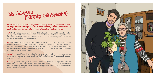**Every student is paired with a neighborhood family (who might be senior citizens or single parents). Strong bonds are formed, and they often become enduring relationships that last long after the students graduate and move away.** 

*Gai:* My adopted sister Adel is eight years old. She has a lot of responsibilities caring for her younger siblings. We meet at my apartment, a place where she can be free and just have fun. We practice reading together and bake cookies. We go on walks in the neighborhood and eat ice cream. She shows me all the short cuts.

*Ruth:* My adopted parents are an older couple, originally from Tunisia. They are constantly feeding me! Even if I stop by to visit at eight am, my Yasmina always makes me blintzes! It's hard for them to walk long distances, so we go grocery shopping together every week. They told me they weren't planning to vote in the last elections, but I convinced them to come and vote with me and we all voted together.

**Areen:** My adopted father always calls after I have an exam to ask how it went and worries when I come home late at night. He calls me "Dr. Areen". When I say I'm not actually a doctor yet, he says, well, to me you are!

Every student is paired with a neighborhood<br>or single parents). Strong bonds are forme<br>relationships that last long after the student<br>Gai: My adopted sister Adel is eight years old. She<br>younger siblings. We meet at my apar (Mishpacha)

*Sujood:* My adopted family lives in a tiny apartment and there's not enough room there for beds for their five kids. I meet my adopted mother in the evenings, and I help her write letters to the municipality asking for help in moving to a bigger apartment. She says I'm a big help in

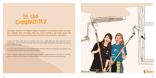**The Open Apartments Program stages a variety of community events to enrich the residents' lives and bring them joy. These include a big Purim party, the annual Passover house painting drive, summer camp activities, and more.** 

*Sujood:* On Purim this year, we weren't sure if we could hold the party because of the coronavirus. But we went to the kids' houses and brought them gifts and candy. Just seeing them smile felt great!

*Yarin:* Summer camp was very meaningful. It was an opportunity for the kids to set their screens aside for a few days and enjoy real life, fun activities and special experiences.



*Ruth:* Our team painted two apartments before Passover. We're not professional painters, but we did our best and the owners were so happy!

## In the Community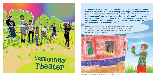

**A community theater project is led by director Dr. Zmira Ron-David. The students serve as directors and script writers, working with groups of residents to produce plays that reflect issues from the residents' everyday lives. At the end of the year, the residents perform their plays at a special event. We couldn't hold the event during the corona pandemic. Instead, students and residents produced a poignant film, about life in the neighborhood during lockdown.\* They also produced an art exhibition that inspired this book.**

*Ruth:* I lead a theater club for children. We practice monologues and do pantomime and create TikTok videos. The kids don't always cooperate. Sometimes I just want them to stop fighting! But the club lets them express their anger and frustrations.



\* Watch the film: https://www.youtube.com/watch?v=NqASLQda7Ns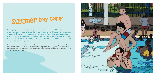**Every year, the program provides summer activities for neighborhood children. Accompanied by students, the children participate in activities such as visits to the science park, the zoo, museums, and the cinema. They get to enjoy adventures, nature hikes, arts and crafts, and more. The children really look forward to this fun-filled program, which takes place when other programs have ended and the children have nothing to do.**

*Yarin:* I loved watching the neighborhood kids at summer camp. They were so full of enthusiasm, curiosity, and joy! We went on field trips to places they had never been before, that their parents couldn't afford, like the science center and amusement parks. As soon as we arrived, their faces lit up!



# Summer Day Camp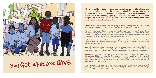

# Source he world better.<br>
Source the world better.<br>
Source the world better.<br>
Source the world better.<br>
Gai: I learned how to approach people in complex situations with more acceptance and<br>
humility. Now I understand that y

**The Lillian and Larry Goodman Open Apartments Program provides a framework for meaningful community-social action, a "new family," based on strong bonds between the students themselves and between the students and their neighbors. It also creates a cadre of high-quality students who contribute to society, while heightening their social sensitivity and awareness and providing them with scholarships to help them financially.**

*Shady:* The students in the program love giving to others. Watching them kick a ball around with the neighborhood kids, letting them have fun and just be kids **–** it's inspiring.

*Yarin:* The program taught me to accept people who are different from me. There's a single mother in our neighborhood who has four children living with her and another in foster care. At first, I was very critical of her. But then I discovered that she's very diligent and tries her best to support her family. I tell her that she should be proud of herself.

*Gai:* I learned how to approach people in complex situations with more acceptance and to just be a bright spot in someone's day.

*Sujood:* This program showed me that some people have much more difficult lives than mine. Their children don't even have beds or toys, and still, they try to teach their children to be decent and kind people.

*Areen:* This program taught me to look around and see other people and their needs. People don't always come up to you and tell you their problems. Now I'm more sensitive to what they're going through. My experience in the program will definitely help me be a better doctor.

*Ruth:* I used to think that when people don't succeed, it's their own fault. I would think to myself, just go get a job! But now I know that if you grow up with nine siblings, like my neighbors, and your father is in jail and your mother works all day, you simply don't have the same starting point as other people do. Leaders need to reach out to those who are less fortunate – it's the only way to make the world better.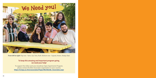*From left to right:* Top row - Yarin, Gai, Toto, Ruth. Bottom row - Sujood, Areen, Shady, Elad.

### **To keep this amazing and important program going, we need your help!**

To support the Lillian and Larry Goodman Open Apartments Program, please contact the BGU Associates organization in your country **[https://in.bgu.ac.il/en/associates/Pages/Worldwide\\_Associates.aspx](https://in.bgu.ac.il/en/associates/Pages/Worldwide_Associates.aspx )**